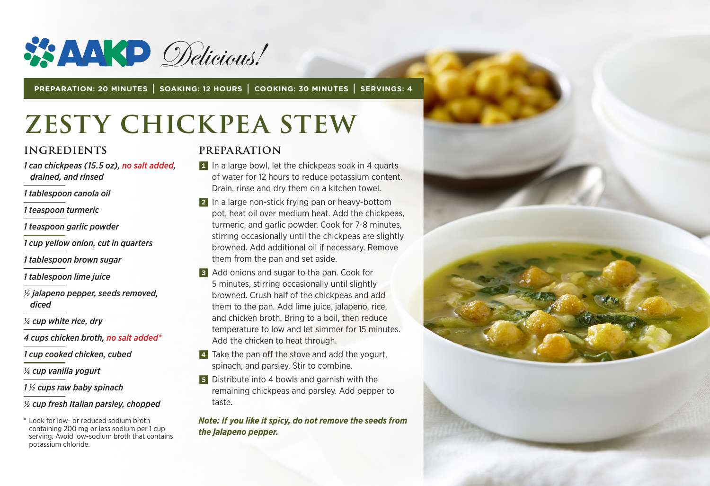

**PREPARATION: 20 MINUTES | SOAKING: 12 HOURS | COOKING: 30 MINUTES | SERVINGS: 4**

# **ZESTY CHICKPEA STEW**

#### **INGREDIENTS**

- *1 can chickpeas (15.5 oz), no salt added, drained, and rinsed*
- *1 tablespoon canola oil*
- *1 teaspoon turmeric*
- *1 teaspoon garlic powder*
- *1 cup yellow onion, cut in quarters*
- *1 tablespoon brown sugar*
- *1 tablespoon lime juice*
- *½ jalapeno pepper, seeds removed, diced*
- *¼ cup white rice, dry*
- *4 cups chicken broth, no salt added\**
- *1 cup cooked chicken, cubed*
- *1/4 cup vanilla yogurt*
- *1 1/2 cups raw baby spinach*

#### *1/2 cup fresh Italian parsley, chopped*

\* Look for low- or reduced sodium broth containing 200 mg or less sodium per 1 cup serving. Avoid low-sodium broth that contains potassium chloride.

#### **PREPARATION**

- 1 In a large bowl, let the chickpeas soak in 4 quarts of water for 12 hours to reduce potassium content. Drain, rinse and dry them on a kitchen towel.
- 2 In a large non-stick frying pan or heavy-bottom pot, heat oil over medium heat. Add the chickpeas, turmeric, and garlic powder. Cook for 7-8 minutes, stirring occasionally until the chickpeas are slightly browned. Add additional oil if necessary. Remove them from the pan and set aside.
- **3** Add onions and sugar to the pan. Cook for 5 minutes, stirring occasionally until slightly browned. Crush half of the chickpeas and add them to the pan. Add lime juice, jalapeno, rice, and chicken broth. Bring to a boil, then reduce temperature to low and let simmer for 15 minutes. Add the chicken to heat through.
- 4 Take the pan off the stove and add the yogurt. spinach, and parsley. Stir to combine.
- 5 Distribute into 4 bowls and garnish with the remaining chickpeas and parsley. Add pepper to taste.

*Note: If you like it spicy, do not remove the seeds from the jalapeno pepper.*